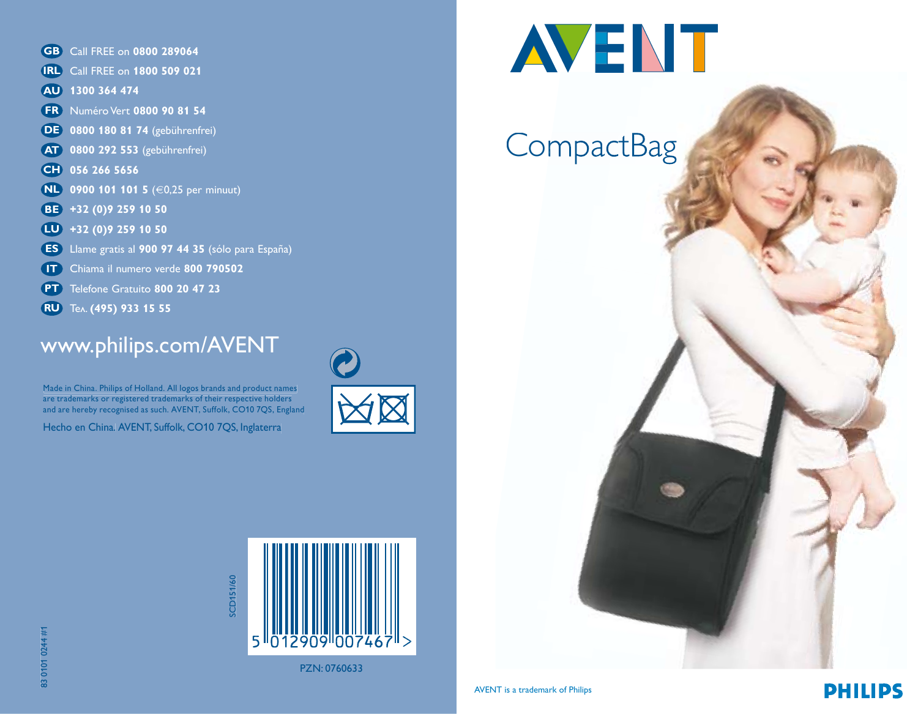- **GB** Call FREE on **0800 289064**
- Call FREE on **1800 509 021 IRL**
- **1300 364 474 AU**
- Numéro Vert **0800 90 81 54 FR**
- **0800 180 81 74** (gebührenfrei) **DE**
- **0800 292 553** (gebührenfrei) **AT**
- **056 266 5656 CH**
- **0900 101 101 5** (€0,25 per minuut) **NL**
- **+32 (0)9 259 10 50 BE**
- **+32 (0)9 259 10 50 LU**
- Llame gratis al **900 97 44 35** (sólo para España) **ES**
- Chiama il numero verde **800 790502 IT**
- **PT** Telefone Gratuito 800 20 47 23
- Teл. **(495) 933 15 55 RU**

#### www.philips.com/AVENT

Made in China. Philips of Holland. All logos brands and product names are trademarks or registered trademarks of their respective holders and are hereby recognised as such. AVENT, Suffolk, CO10 7QS, England

Hecho en China. AVENT, Suffolk, CO10 7QS, Inglaterra





# **AVENT**

### **CompactBag**



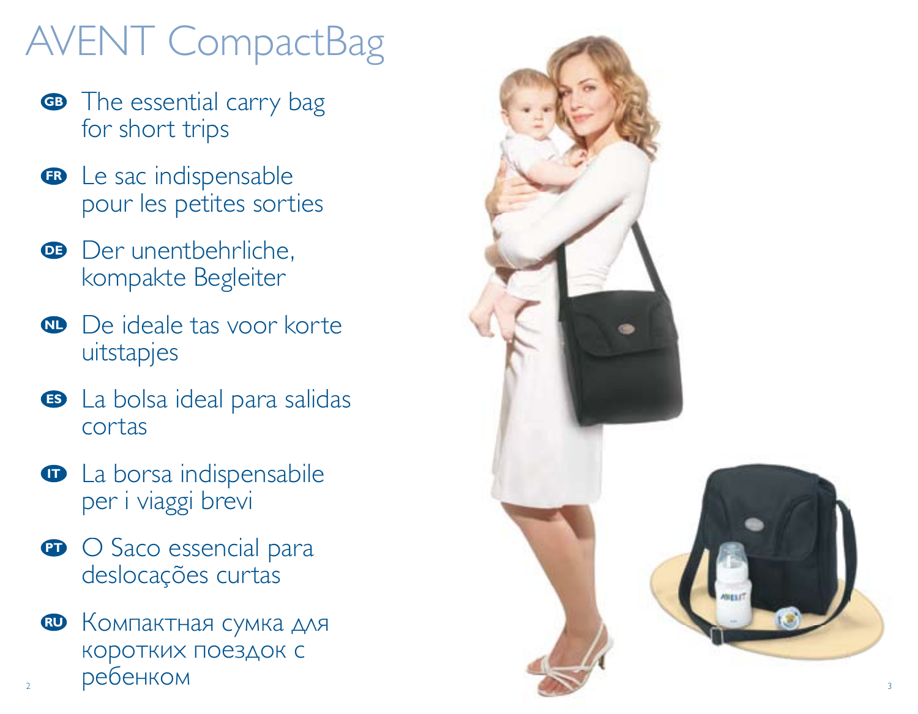# AVENT CompactBag

- **GB** The essential carry bag for short trips
- **B** Le sac indispensable pour les petites sorties
- **B** Der unentbehrliche, kompakte Begleiter
- **D** De ideale tas voor korte uitstapjes
- La bolsa ideal para salidas **ES** cortas
- **D** La borsa indispensabile per i viaggi brevi
- **P** O Saco essencial para deslocações curtas
- $\textbf{B}$  Компактная сумка для коротких поездок с ребенком

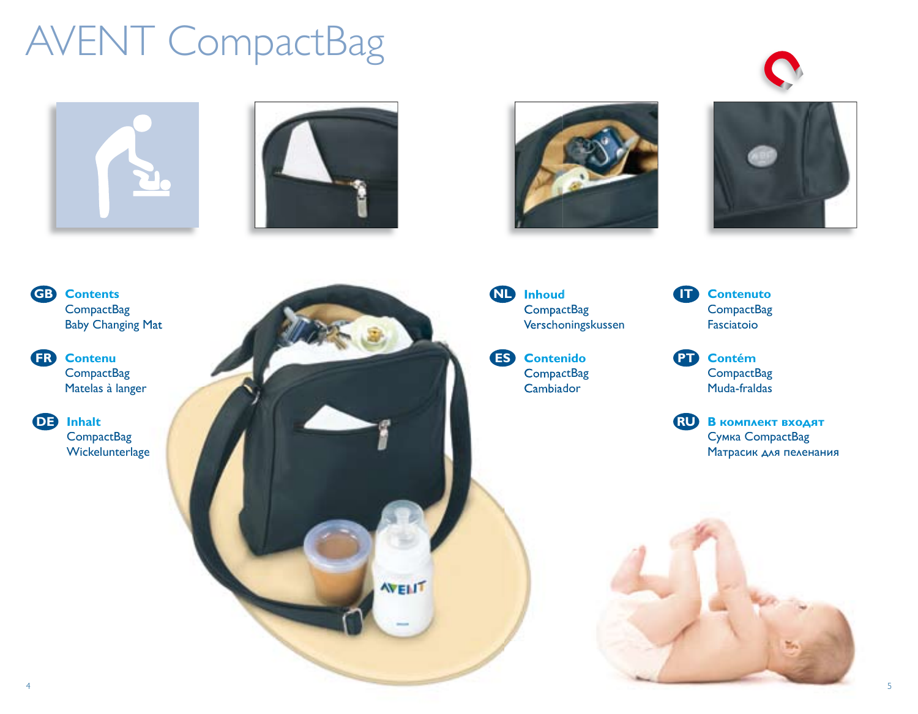## AVENT CompactBag